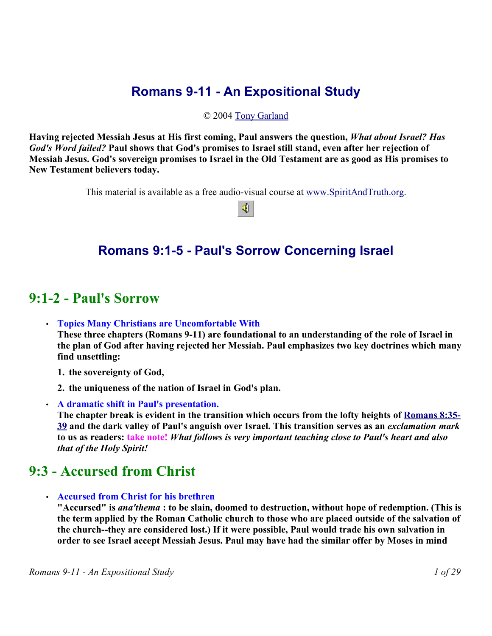## **Romans 9-11 - An Expositional Study**

#### © 2004 Tony Garland

**Having rejected Messiah Jesus at His first coming, Paul answers the question,** *What about Israel? Has God's Word failed?* **Paul shows that God's promises to Israel still stand, even after her rejection of Messiah Jesus. God's sovereign promises to Israel in the Old Testament are as good as His promises to New Testament believers today.**

This material is available as a free audio-visual course at www.SpiritAndTruth.org.

♦

### **Romans 9:1-5 - Paul's Sorrow Concerning Israel**

### **9:1-2 - Paul's Sorrow**

• **Topics Many Christians are Uncomfortable With**

**These three chapters (Romans 9-11) are foundational to an understanding of the role of Israel in the plan of God after having rejected her Messiah. Paul emphasizes two key doctrines which many find unsettling:** 

- **1. the sovereignty of God,**
- **2. the uniqueness of the nation of Israel in God's plan.**
- **A dramatic shift in Paul's presentation.**

**The chapter break is evident in the transition which occurs from the lofty heights of Romans 8:35- 39 and the dark valley of Paul's anguish over Israel. This transition serves as an** *exclamation mark* **to us as readers: take note!** *What follows is very important teaching close to Paul's heart and also that of the Holy Spirit!*

### **9:3 - Accursed from Christ**

• **Accursed from Christ for his brethren**

**"Accursed" is** *ana'thema* **: to be slain, doomed to destruction, without hope of redemption. (This is the term applied by the Roman Catholic church to those who are placed outside of the salvation of the church--they are considered lost.) If it were possible, Paul would trade his own salvation in order to see Israel accept Messiah Jesus. Paul may have had the similar offer by Moses in mind**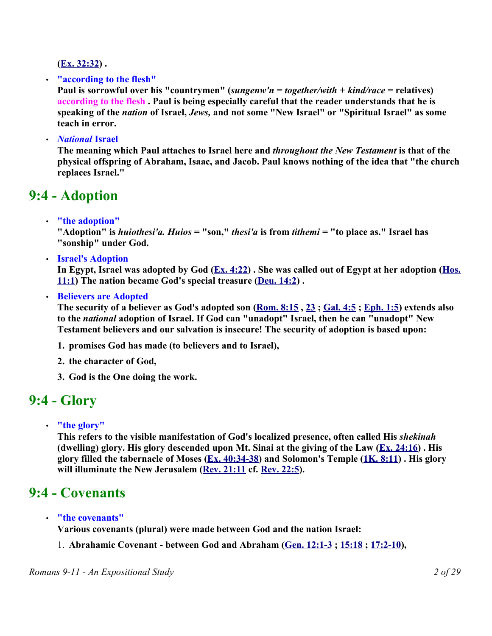**(Ex. 32:32) .** 

• **"according to the flesh"**

**Paul is sorrowful over his "countrymen" (***sungenw'n* **=** *together/with* **+** *kind/race* **= relatives) according to the flesh . Paul is being especially careful that the reader understands that he is speaking of the** *nation* **of Israel,** *Jews,* **and not some "New Israel" or "Spiritual Israel" as some teach in error.** 

• *National* **Israel** 

**The meaning which Paul attaches to Israel here and** *throughout the New Testament* **is that of the physical offspring of Abraham, Isaac, and Jacob. Paul knows nothing of the idea that "the church replaces Israel."**

### **9:4 - Adoption**

• **"the adoption"**

**"Adoption" is** *huiothesi'a. Huios* **= "son,"** *thesi'a* **is from** *tithemi* **= "to place as." Israel has "sonship" under God.** 

• **Israel's Adoption**

**In Egypt, Israel was adopted by God (Ex. 4:22) . She was called out of Egypt at her adoption (Hos. 11:1) The nation became God's special treasure (Deu. 14:2) .** 

• **Believers are Adopted** 

**The security of a believer as God's adopted son (Rom. 8:15 , 23 ; Gal. 4:5 ; Eph. 1:5) extends also to the** *national* **adoption of Israel. If God can "unadopt" Israel, then he can "unadopt" New Testament believers and our salvation is insecure! The security of adoption is based upon:**

- **1. promises God has made (to believers and to Israel),**
- **2. the character of God,**
- **3. God is the One doing the work.**

### **9:4 - Glory**

• **"the glory"**

**This refers to the visible manifestation of God's localized presence, often called His** *shekinah* **(dwelling) glory. His glory descended upon Mt. Sinai at the giving of the Law (Ex. 24:16) . His glory filled the tabernacle of Moses (Ex. 40:34-38) and Solomon's Temple (1K. 8:11) . His glory will illuminate the New Jerusalem (Rev. 21:11 cf. Rev. 22:5).** 

## **9:4 - Covenants**

• **"the covenants"**

**Various covenants (plural) were made between God and the nation Israel:**

1. **Abrahamic Covenant - between God and Abraham (Gen. 12:1-3 ; 15:18 ; 17:2-10),**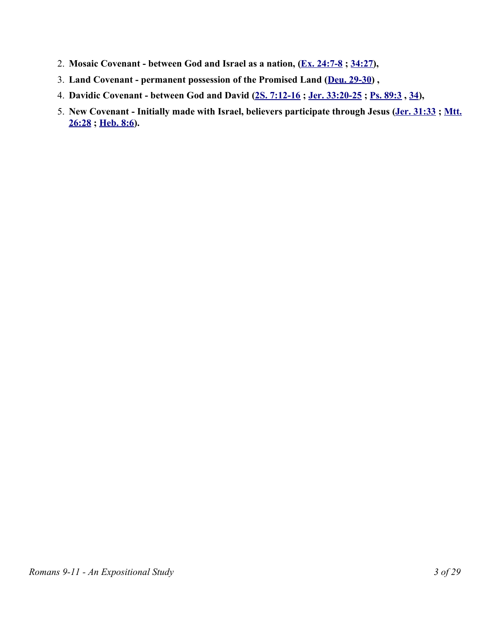- 2. **Mosaic Covenant between God and Israel as a nation, (Ex. 24:7-8 ; 34:27),**
- 3. **Land Covenant permanent possession of the Promised Land (Deu. 29-30) ,**
- 4. **Davidic Covenant between God and David (2S. 7:12-16 ; Jer. 33:20-25 ; Ps. 89:3 , 34),**
- 5. **New Covenant Initially made with Israel, believers participate through Jesus (Jer. 31:33 ; Mtt. 26:28 ; Heb. 8:6).**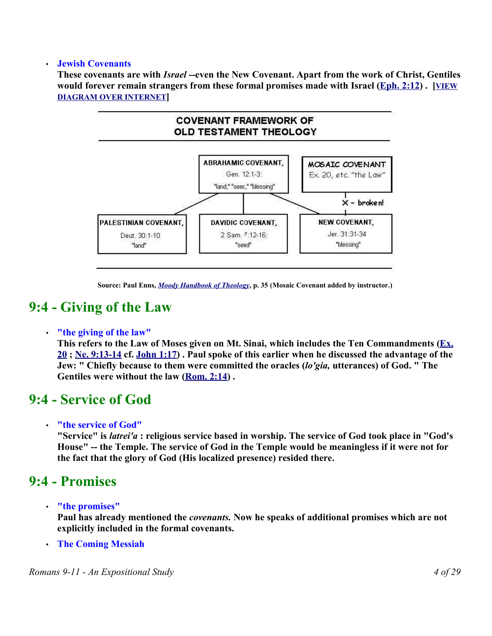#### • **Jewish Covenants**

**These covenants are with** *Israel* **--even the New Covenant. Apart from the work of Christ, Gentiles would forever remain strangers from these formal promises made with Israel (Eph. 2:12) . [VIEW DIAGRAM OVER INTERNET]**



**Source: Paul Enns,** *Moody Handbook of Theology***, p. 35 (Mosaic Covenant added by instructor.)**

### **9:4 - Giving of the Law**

#### • **"the giving of the law"**

**This refers to the Law of Moses given on Mt. Sinai, which includes the Ten Commandments (Ex. 20 ; Ne. 9:13-14 cf. John 1:17) . Paul spoke of this earlier when he discussed the advantage of the Jew: " Chiefly because to them were committed the oracles (***lo'gia,* **utterances) of God. " The Gentiles were without the law (Rom. 2:14) .** 

### **9:4 - Service of God**

#### • **"the service of God"**

**"Service" is** *latrei'a* **: religious service based in worship. The service of God took place in "God's House" -- the Temple. The service of God in the Temple would be meaningless if it were not for the fact that the glory of God (His localized presence) resided there.** 

### **9:4 - Promises**

• **"the promises"**

**Paul has already mentioned the** *covenants.* **Now he speaks of additional promises which are not explicitly included in the formal covenants.**

• **The Coming Messiah**

*Romans 9-11 - An Expositional Study 4 of 29*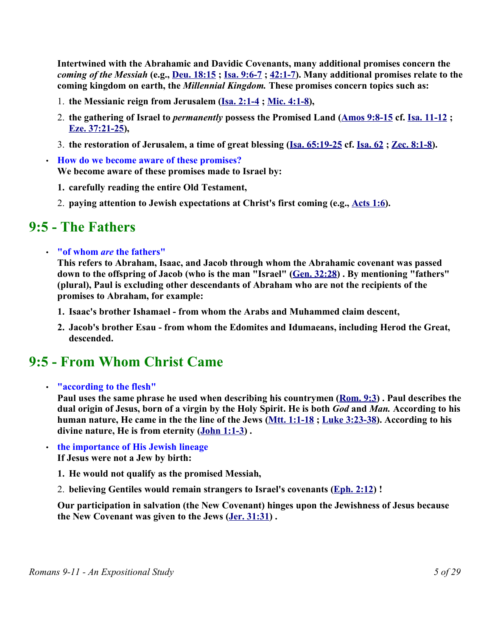**Intertwined with the Abrahamic and Davidic Covenants, many additional promises concern the** *coming of the Messiah* **(e.g., Deu. 18:15 ; Isa. 9:6-7 ; 42:1-7). Many additional promises relate to the coming kingdom on earth, the** *Millennial Kingdom.* **These promises concern topics such as:** 

- 1. **the Messianic reign from Jerusalem (Isa. 2:1-4 ; Mic. 4:1-8),**
- 2. **the gathering of Israel to** *permanently* **possess the Promised Land (Amos 9:8-15 cf. Isa. 11-12 ; Eze. 37:21-25),**
- 3. **the restoration of Jerusalem, a time of great blessing (Isa. 65:19-25 cf. Isa. 62 ; Zec. 8:1-8).**
- **How do we become aware of these promises? We become aware of these promises made to Israel by:** 
	- **1. carefully reading the entire Old Testament,**
	- 2. **paying attention to Jewish expectations at Christ's first coming (e.g., Acts 1:6).**

### **9:5 - The Fathers**

• **"of whom** *are* **the fathers"**

**This refers to Abraham, Isaac, and Jacob through whom the Abrahamic covenant was passed down to the offspring of Jacob (who is the man "Israel" (Gen. 32:28) . By mentioning "fathers" (plural), Paul is excluding other descendants of Abraham who are not the recipients of the promises to Abraham, for example:**

- **1. Isaac's brother Ishamael from whom the Arabs and Muhammed claim descent,**
- **2. Jacob's brother Esau from whom the Edomites and Idumaeans, including Herod the Great, descended.**

### **9:5 - From Whom Christ Came**

#### • **"according to the flesh"**

**Paul uses the same phrase he used when describing his countrymen (Rom. 9:3) . Paul describes the dual origin of Jesus, born of a virgin by the Holy Spirit. He is both** *God* **and** *Man.* **According to his human nature, He came in the the line of the Jews (Mtt. 1:1-18 ; Luke 3:23-38). According to his divine nature, He is from eternity (John 1:1-3) .** 

- **the importance of His Jewish lineage If Jesus were not a Jew by birth:** 
	- **1. He would not qualify as the promised Messiah,**
	- 2. **believing Gentiles would remain strangers to Israel's covenants (Eph. 2:12) !**

**Our participation in salvation (the New Covenant) hinges upon the Jewishness of Jesus because the New Covenant was given to the Jews (Jer. 31:31) .**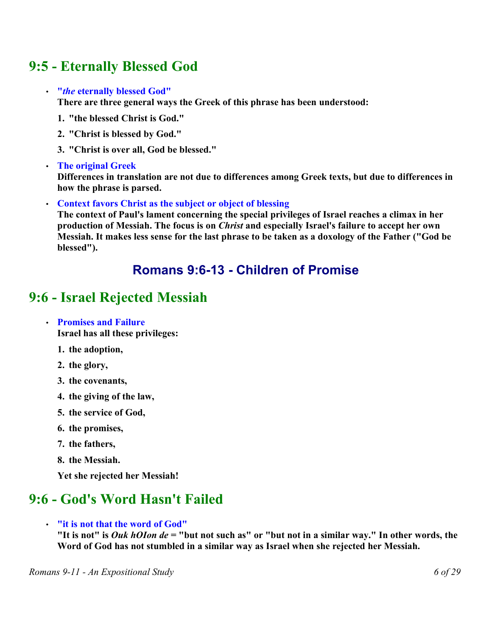## **9:5 - Eternally Blessed God**

#### • **"***the* **eternally blessed God"**

**There are three general ways the Greek of this phrase has been understood:** 

- **1. "the blessed Christ is God."**
- **2. "Christ is blessed by God."**
- **3. "Christ is over all, God be blessed."**

#### • **The original Greek**

**Differences in translation are not due to differences among Greek texts, but due to differences in how the phrase is parsed.**

#### • **Context favors Christ as the subject or object of blessing**

**The context of Paul's lament concerning the special privileges of Israel reaches a climax in her production of Messiah. The focus is on** *Christ* **and especially Israel's failure to accept her own Messiah. It makes less sense for the last phrase to be taken as a doxology of the Father ("God be blessed").** 

### **Romans 9:6-13 - Children of Promise**

## **9:6 - Israel Rejected Messiah**

#### • **Promises and Failure**

**Israel has all these privileges:**

- **1. the adoption,**
- **2. the glory,**
- **3. the covenants,**
- **4. the giving of the law,**
- **5. the service of God,**
- **6. the promises,**
- **7. the fathers,**
- **8. the Messiah.**

**Yet she rejected her Messiah!**

## **9:6 - God's Word Hasn't Failed**

• **"it is not that the word of God"**

**"It is not" is** *Ouk hOIon de* **= "but not such as" or "but not in a similar way." In other words, the Word of God has not stumbled in a similar way as Israel when she rejected her Messiah.**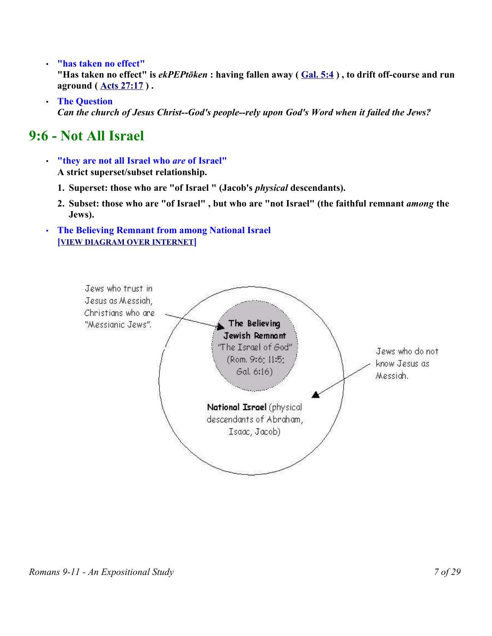- **"has taken no effect" "Has taken no effect" is** *ekPEPtōken* **: having fallen away ( Gal. 5:4 ) , to drift off-course and run aground ( Acts 27:17 ) .**
- **The Question** *Can the church of Jesus Christ--God's people--rely upon God's Word when it failed the Jews?*

## **9:6 - Not All Israel**

- **"they are not all Israel who** *are* **of Israel" A strict superset/subset relationship.**
	- **1. Superset: those who are "of Israel " (Jacob's** *physical* **descendants).**
	- **2. Subset: those who are "of Israel" , but who are "not Israel" (the faithful remnant** *among* **the Jews).**
- **The Believing Remnant from among National Israel [VIEW DIAGRAM OVER INTERNET]**

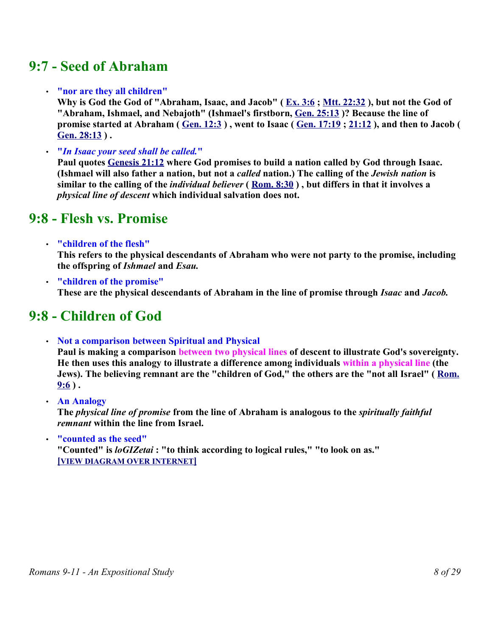## **9:7 - Seed of Abraham**

#### • **"nor are they all children"**

**Why is God the God of "Abraham, Isaac, and Jacob" ( Ex. 3:6 ; Mtt. 22:32 ), but not the God of "Abraham, Ishmael, and Nebajoth" (Ishmael's firstborn, Gen. 25:13 )? Because the line of promise started at Abraham ( Gen. 12:3 ) , went to Isaac ( Gen. 17:19 ; 21:12 ), and then to Jacob ( Gen. 28:13 ) .** 

• **"***In Isaac your seed shall be called.***"**

**Paul quotes Genesis 21:12 where God promises to build a nation called by God through Isaac. (Ishmael will also father a nation, but not a** *called* **nation.) The calling of the** *Jewish nation* **is similar to the calling of the** *individual believer* **( Rom. 8:30 ) , but differs in that it involves a** *physical line of descent* **which individual salvation does not.**

### **9:8 - Flesh vs. Promise**

• **"children of the flesh"**

**This refers to the physical descendants of Abraham who were not party to the promise, including the offspring of** *Ishmael* **and** *Esau.*

• **"children of the promise" These are the physical descendants of Abraham in the line of promise through** *Isaac* **and** *Jacob.* 

## **9:8 - Children of God**

- **Not a comparison between Spiritual and Physical Paul is making a comparison between two physical lines of descent to illustrate God's sovereignty. He then uses this analogy to illustrate a difference among individuals within a physical line (the Jews). The believing remnant are the "children of God," the others are the "not all Israel" ( Rom.**  $9:6$ ).
- **An Analogy The** *physical line of promise* **from the line of Abraham is analogous to the** *spiritually faithful*

*remnant* **within the line from Israel.** 

• **"counted as the seed" "Counted" is** *loGIZetai* **: "to think according to logical rules," "to look on as." [ VIEW DIAGRAM OVER INTERNET ]**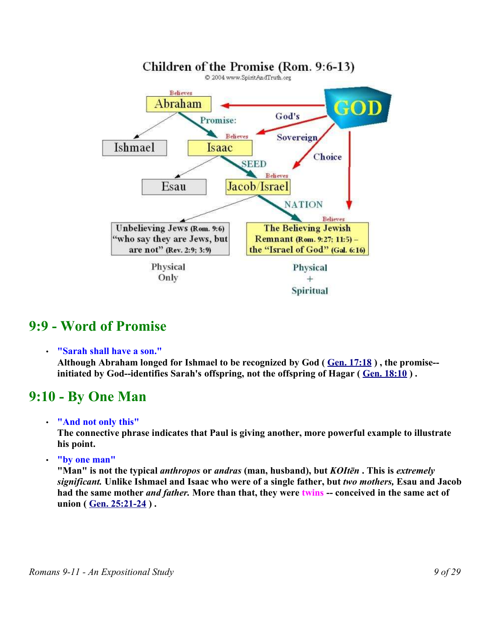

### **9:9 - Word of Promise**

• **"Sarah shall have a son."**

**Although Abraham longed for Ishmael to be recognized by God ( Gen. 17:18 ) , the promise- initiated by God--identifies Sarah's offspring, not the offspring of Hagar ( Gen. 18:10 ) .** 

## **9:10 - By One Man**

• **"And not only this"** 

**The connective phrase indicates that Paul is giving another, more powerful example to illustrate his point.**

• **"by one man"** 

**"Man" is not the typical** *anthropos* **or** *andras* **(man, husband), but** *KOItēn* **. This is** *extremely significant.* **Unlike Ishmael and Isaac who were of a single father, but** *two mothers,* **Esau and Jacob had the same mother** *and father.* **More than that, they were twins -- conceived in the same act of union ( Gen. 25:21-24 ) .**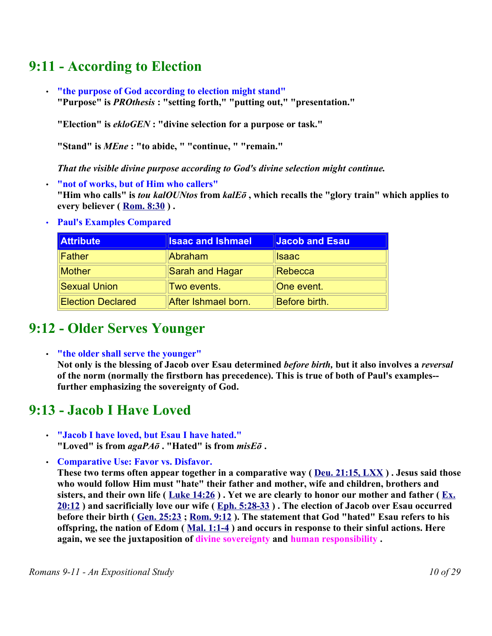## **9:11 - According to Election**

• **"the purpose of God according to election might stand" "Purpose" is** *PROthesis* **: "setting forth," "putting out," "presentation."**

**"Election" is** *ekloGEN* **: "divine selection for a purpose or task."**

**"Stand" is** *MEne* **: "to abide, " "continue, " "remain."**

*That the visible divine purpose according to God's divine selection might continue.*

• **"not of works, but of Him who callers" "Him who calls" is** *tou kalOUNtos* **from** *kalEō* **, which recalls the "glory train" which applies to every believer ( Rom. 8:30 ) .** 

| <b>Attribute</b>         | <b>Isaac and Ishmael</b> | Jacob and Esau |
|--------------------------|--------------------------|----------------|
| <b>Father</b>            | Abraham                  | <b>Isaac</b>   |
| <b>Mother</b>            | Sarah and Hagar          | Rebecca        |
| <b>Sexual Union</b>      | Two events.              | One event.     |
| <b>Election Declared</b> | After Ishmael born.      | Before birth.  |

• **Paul's Examples Compared**

## **9:12 - Older Serves Younger**

• **"the older shall serve the younger"**

**Not only is the blessing of Jacob over Esau determined** *before birth,* **but it also involves a** *reversal* **of the norm (normally the firstborn has precedence). This is true of both of Paul's examples- further emphasizing the sovereignty of God.** 

## **9:13 - Jacob I Have Loved**

- **"Jacob I have loved, but Esau I have hated." "Loved" is from** *agaPAō* **. "Hated" is from** *misEō* **.**
- **Comparative Use: Favor vs. Disfavor.**

**These two terms often appear together in a comparative way ( Deu. 21:15, LXX ) . Jesus said those who would follow Him must "hate" their father and mother, wife and children, brothers and sisters, and their own life ( Luke 14:26 ) . Yet we are clearly to honor our mother and father ( Ex. 20:12 ) and sacrificially love our wife ( Eph. 5:28-33 ) . The election of Jacob over Esau occurred before their birth ( Gen. 25:23 ; Rom. 9:12 ). The statement that God "hated" Esau refers to his offspring, the nation of Edom ( Mal. 1:1-4 ) and occurs in response to their sinful actions. Here again, we see the juxtaposition of divine sovereignty and human responsibility .**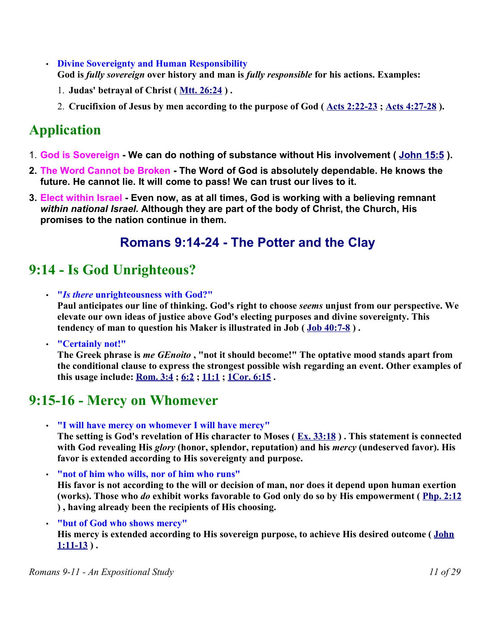- **Divine Sovereignty and Human Responsibility God is** *fully sovereign* **over history and man is** *fully responsible* **for his actions. Examples:**
	- 1. **Judas' betrayal of Christ ( Mtt. 26:24 ) .**
	- 2. **Crucifixion of Jesus by men according to the purpose of God ( Acts 2:22-23 ; Acts 4:27-28 ).**

# **Application**

- 1. **God is Sovereign We can do nothing of substance without His involvement ( John 15:5 ).**
- **2. The Word Cannot be Broken - The Word of God is absolutely dependable. He knows the future. He cannot lie. It will come to pass! We can trust our lives to it.**
- **3. Elect within Israel Even now, as at all times, God is working with a believing remnant** *within national Israel.* **Although they are part of the body of Christ, the Church, His promises to the nation continue in them.**

## **Romans 9:14-24 - The Potter and the Clay**

# **9:14 - Is God Unrighteous?**

- **"***Is there* **unrighteousness with God?" Paul anticipates our line of thinking. God's right to choose** *seems* **unjust from our perspective. We elevate our own ideas of justice above God's electing purposes and divine sovereignty. This tendency of man to question his Maker is illustrated in Job ( Job 40:7-8 ) .**
- **"Certainly not!"**

**The Greek phrase is** *me GEnoito* **, "not it should become!" The optative mood stands apart from the conditional clause to express the strongest possible wish regarding an event. Other examples of this usage include: Rom. 3:4 ; 6:2 ; 11:1 ; 1Cor. 6:15 .** 

## **9:15-16 - Mercy on Whomever**

• **"I will have mercy on whomever I will have mercy"** 

**The setting is God's revelation of His character to Moses ( Ex. 33:18 ) . This statement is connected with God revealing His** *glory* **(honor, splendor, reputation) and his** *mercy* **(undeserved favor). His favor is extended according to His sovereignty and purpose.**

- **"not of him who wills, nor of him who runs" His favor is not according to the will or decision of man, nor does it depend upon human exertion (works). Those who** *do* **exhibit works favorable to God only do so by His empowerment ( Php. 2:12 ) , having already been the recipients of His choosing.**
- **"but of God who shows mercy"**

**His mercy is extended according to His sovereign purpose, to achieve His desired outcome ( John 1:11-13 ) .**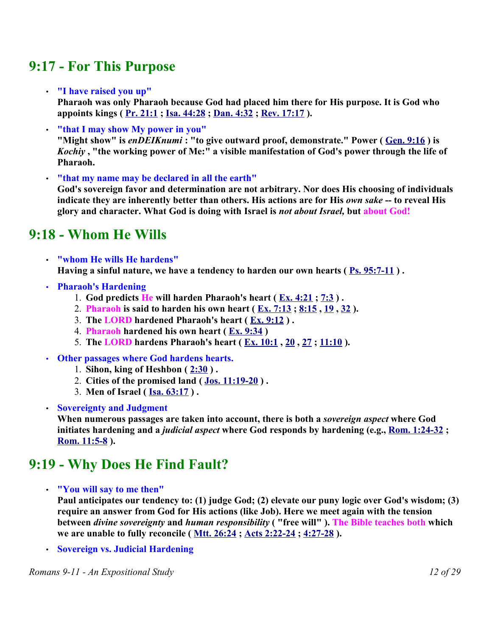## **9:17 - For This Purpose**

• **"I have raised you up"**

**Pharaoh was only Pharaoh because God had placed him there for His purpose. It is God who appoints kings ( Pr. 21:1 ; Isa. 44:28 ; Dan. 4:32 ; Rev. 17:17 ).** 

- **"that I may show My power in you" "Might show" is** *enDEIKnumi* **: "to give outward proof, demonstrate." Power ( Gen. 9:16 ) is** *Kochiy* **, "the working power of Me:" a visible manifestation of God's power through the life of Pharaoh.**
- **"that my name may be declared in all the earth" God's sovereign favor and determination are not arbitrary. Nor does His choosing of individuals indicate they are inherently better than others. His actions are for His** *own sake* **-- to reveal His glory and character. What God is doing with Israel is** *not about Israel,* **but about God!**

## **9:18 - Whom He Wills**

- **"whom He wills He hardens" Having a sinful nature, we have a tendency to harden our own hearts ( Ps. 95:7-11 ) .**
- **Pharaoh's Hardening**
	- 1. **God predicts He will harden Pharaoh's heart ( Ex. 4:21 ; 7:3 ) .**
	- 2. **Pharaoh is said to harden his own heart ( Ex. 7:13 ; 8:15 , 19 , 32 ).**
	- 3. **The LORD hardened Pharaoh's heart ( Ex. 9:12 ) .**
	- 4. **Pharaoh hardened his own heart ( Ex. 9:34 )**
	- 5. **The LORD hardens Pharaoh's heart ( Ex. 10:1 , 20 , 27 ; 11:10 ).**
- **Other passages where God hardens hearts.** 
	- 1. **Sihon, king of Heshbon ( 2:30 ) .**
	- 2. **Cities of the promised land ( Jos. 11:19-20 ) .**
	- 3. **Men of Israel ( Isa. 63:17 ) .**
- **Sovereignty and Judgment**

**When numerous passages are taken into account, there is both a** *sovereign aspect* **where God initiates hardening and a** *judicial aspect* **where God responds by hardening (e.g., Rom. 1:24-32 ; Rom. 11:5-8 ).** 

## **9:19 - Why Does He Find Fault?**

• **"You will say to me then"**

**Paul anticipates our tendency to: (1) judge God; (2) elevate our puny logic over God's wisdom; (3) require an answer from God for His actions (like Job). Here we meet again with the tension between** *divine sovereignty* **and** *human responsibility* **( "free will" ). The Bible teaches both which we are unable to fully reconcile ( Mtt. 26:24 ; Acts 2:22-24 ; 4:27-28 ).** 

• **Sovereign vs. Judicial Hardening**

*Romans 9-11 - An Expositional Study 12 of 29*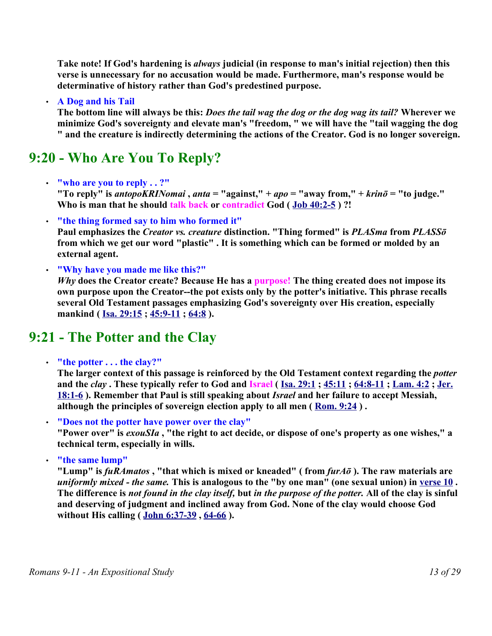**Take note! If God's hardening is** *always* **judicial (in response to man's initial rejection) then this verse is unnecessary for no accusation would be made. Furthermore, man's response would be determinative of history rather than God's predestined purpose.**

#### • **A Dog and his Tail**

**The bottom line will always be this:** *Does the tail wag the dog or the dog wag its tail?* **Wherever we minimize God's sovereignty and elevate man's "freedom, " we will have the "tail wagging the dog " and the creature is indirectly determining the actions of the Creator. God is no longer sovereign.**

## **9:20 - Who Are You To Reply?**

• **"who are you to reply . . ?"** 

**"To reply" is** *antopoKRINomai* **,** *anta* **= "against," +** *apo* **= "away from," +** *krinō* **= "to judge." Who is man that he should talk back or contradict God ( Job 40:2-5 ) ?!** 

• **"the thing formed say to him who formed it"** 

**Paul emphasizes the** *Creator vs. creature* **distinction. "Thing formed" is** *PLASma* **from** *PLASSō* **from which we get our word "plastic" . It is something which can be formed or molded by an external agent.** 

• **"Why have you made me like this?"**

*Why* **does the Creator create? Because He has a purpose! The thing created does not impose its own purpose upon the Creator--the pot exists only by the potter's initiative. This phrase recalls several Old Testament passages emphasizing God's sovereignty over His creation, especially mankind ( Isa. 29:15 ; 45:9-11 ; 64:8 ).** 

### **9:21 - The Potter and the Clay**

• **"the potter . . . the clay?"** 

**The larger context of this passage is reinforced by the Old Testament context regarding the** *potter* **and the** *clay* **. These typically refer to God and Israel ( Isa. 29:1 ; 45:11 ; 64:8-11 ; Lam. 4:2 ; Jer. 18:1-6 ). Remember that Paul is still speaking about** *Israel* **and her failure to accept Messiah, although the principles of sovereign election apply to all men ( Rom. 9:24 ) .** 

• **"Does not the potter have power over the clay"**

**"Power over" is** *exouSIa* **, "the right to act decide, or dispose of one's property as one wishes," a technical term, especially in wills.**

• **"the same lump"**

**"Lump" is** *fuRAmatos* **, "that which is mixed or kneaded" ( from** *furAō* **). The raw materials are** *uniformly mixed - the same.* This is analogous to the "by one man" (one sexual union) in verse 10. **The difference is** *not found in the clay itself,* **but** *in the purpose of the potter.* **All of the clay is sinful and deserving of judgment and inclined away from God. None of the clay would choose God without His calling ( John 6:37-39 , 64-66 ).**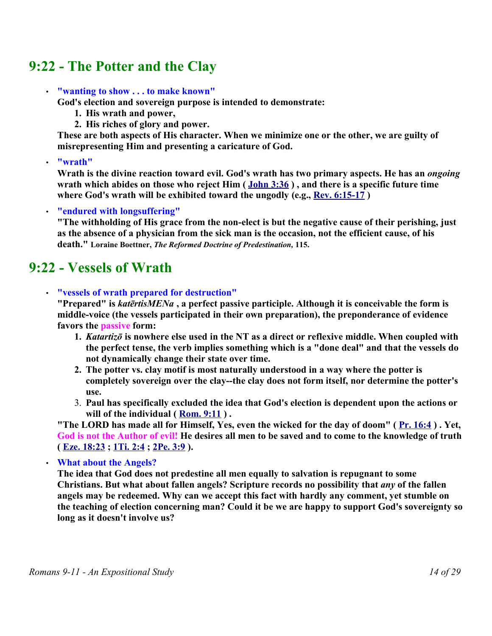## **9:22 - The Potter and the Clay**

#### • **"wanting to show . . . to make known"**

**God's election and sovereign purpose is intended to demonstrate:**

- **1. His wrath and power,**
- **2. His riches of glory and power.**

**These are both aspects of His character. When we minimize one or the other, we are guilty of misrepresenting Him and presenting a caricature of God.** 

• **"wrath"**

**Wrath is the divine reaction toward evil. God's wrath has two primary aspects. He has an** *ongoing* **wrath which abides on those who reject Him ( John 3:36 ) , and there is a specific future time where God's wrath will be exhibited toward the ungodly (e.g., Rev. 6:15-17 )**

#### • **"endured with longsuffering"**

**"The withholding of His grace from the non-elect is but the negative cause of their perishing, just as the absence of a physician from the sick man is the occasion, not the efficient cause, of his death." Loraine Boettner,** *The Reformed Doctrine of Predestination,* **115.** 

## **9:22 - Vessels of Wrath**

#### • **"vessels of wrath prepared for destruction"**

**"Prepared" is** *katērtisMENa* **, a perfect passive participle. Although it is conceivable the form is middle-voice (the vessels participated in their own preparation), the preponderance of evidence favors the passive form:**

- **1.** *Katartizō* **is nowhere else used in the NT as a direct or reflexive middle. When coupled with the perfect tense, the verb implies something which is a "done deal" and that the vessels do not dynamically change their state over time.**
- **2. The potter vs. clay motif is most naturally understood in a way where the potter is completely sovereign over the clay--the clay does not form itself, nor determine the potter's use.**
- 3. **Paul has specifically excluded the idea that God's election is dependent upon the actions or will of the individual ( Rom. 9:11 ) .**

**"The LORD has made all for Himself, Yes, even the wicked for the day of doom" ( Pr. 16:4 ) . Yet, God is not the Author of evil! He desires all men to be saved and to come to the knowledge of truth ( Eze. 18:23 ; 1Ti. 2:4 ; 2Pe. 3:9 ).** 

• **What about the Angels?** 

**The idea that God does not predestine all men equally to salvation is repugnant to some Christians. But what about fallen angels? Scripture records no possibility that** *any* **of the fallen angels may be redeemed. Why can we accept this fact with hardly any comment, yet stumble on the teaching of election concerning man? Could it be we are happy to support God's sovereignty so long as it doesn't involve us?**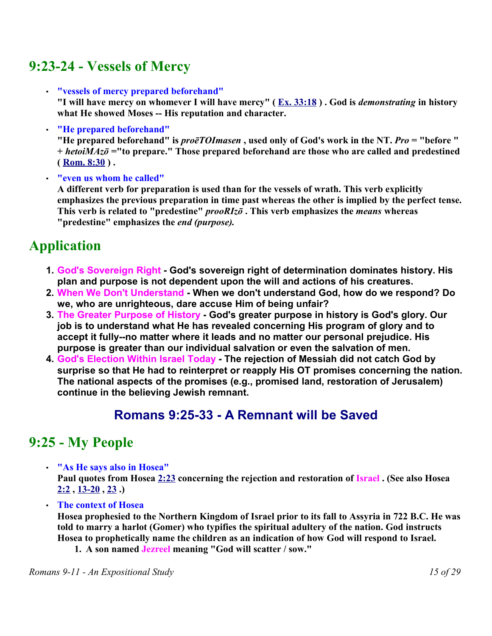## **9:23-24 - Vessels of Mercy**

• **"vessels of mercy prepared beforehand"**

**"I will have mercy on whomever I will have mercy" ( Ex. 33:18 ) . God is** *demonstrating* **in history** what He showed Moses -- His reputation and character.

• **"He prepared beforehand"**

**"He prepared beforehand" is** *proēTOImasen* **, used only of God's work in the NT.** *Pro* **= "before " +** *hetoiMAzō =***"to prepare." Those prepared beforehand are those who are called and predestined**  $(\text{Rom. 8:30}).$ 

• **"even us whom he called"**

**A different verb for preparation is used than for the vessels of wrath. This verb explicitly emphasizes the previous preparation in time past whereas the other is implied by the perfect tense. This verb is related to "predestine"** *prooRIzō* **. This verb emphasizes the** *means* **whereas "predestine" emphasizes the** *end (purpose).*

# **Application**

- **1. God's Sovereign Right - God's sovereign right of determination dominates history. His plan and purpose is not dependent upon the will and actions of his creatures.**
- **2. When We Don't Understand - When we don't understand God, how do we respond? Do we, who are unrighteous, dare accuse Him of being unfair?**
- **3. The Greater Purpose of History - God's greater purpose in history is God's glory. Our job is to understand what He has revealed concerning His program of glory and to accept it fully--no matter where it leads and no matter our personal prejudice. His purpose is greater than our individual salvation or even the salvation of men.**
- **4. God's Election Within Israel Today - The rejection of Messiah did not catch God by surprise so that He had to reinterpret or reapply His OT promises concerning the nation. The national aspects of the promises (e.g., promised land, restoration of Jerusalem) continue in the believing Jewish remnant.**

## **Romans 9:25-33 - A Remnant will be Saved**

## **9:25 - My People**

• **"As He says also in Hosea"** 

**Paul quotes from Hosea 2:23 concerning the rejection and restoration of Israel . (See also Hosea 2:2 , 13-20 , 23 .)** 

• **The context of Hosea** 

**Hosea prophesied to the Northern Kingdom of Israel prior to its fall to Assyria in 722 B.C. He was told to marry a harlot (Gomer) who typifies the spiritual adultery of the nation. God instructs Hosea to prophetically name the children as an indication of how God will respond to Israel.** 

**1. A son named Jezreel meaning "God will scatter / sow."**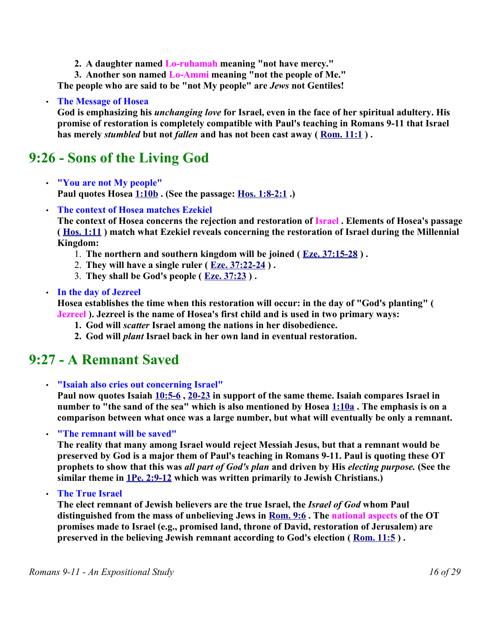**2. A daughter named Lo-ruhamah meaning "not have mercy."**

**3. Another son named Lo-Ammi meaning "not the people of Me."**

**The people who are said to be "not My people" are** *Jews* **not Gentiles!**

#### • **The Message of Hosea**

**God is emphasizing his** *unchanging love* **for Israel, even in the face of her spiritual adultery. His promise of restoration is completely compatible with Paul's teaching in Romans 9-11 that Israel has merely** *stumbled* **but not** *fallen* **and has not been cast away ( Rom. 11:1 ) .** 

## **9:26 - Sons of the Living God**

- **"You are not My people" Paul quotes Hosea 1:10b . (See the passage: Hos. 1:8-2:1 .)**
- **The context of Hosea matches Ezekiel**

**The context of Hosea concerns the rejection and restoration of Israel . Elements of Hosea's passage ( Hos. 1:11 ) match what Ezekiel reveals concerning the restoration of Israel during the Millennial Kingdom:** 

- 1. **The northern and southern kingdom will be joined ( Eze. 37:15-28 ) .**
- 2. **They will have a single ruler ( Eze. 37:22-24 ) .**
- 3. **They shall be God's people ( Eze. 37:23 ) .**

#### • **In the day of Jezreel**

**Hosea establishes the time when this restoration will occur: in the day of "God's planting" ( Jezreel ). Jezreel is the name of Hosea's first child and is used in two primary ways:**

- **1. God will** *scatter* **Israel among the nations in her disobedience.**
- **2. God will** *plant* **Israel back in her own land in eventual restoration.**

### **9:27 - A Remnant Saved**

• **"Isaiah also cries out concerning Israel"** 

**Paul now quotes Isaiah 10:5-6 , 20-23 in support of the same theme. Isaiah compares Israel in number to "the sand of the sea" which is also mentioned by Hosea 1:10a . The emphasis is on a comparison between what once was a large number, but what will eventually be only a remnant.** 

#### • **"The remnant will be saved"**

**The reality that many among Israel would reject Messiah Jesus, but that a remnant would be preserved by God is a major them of Paul's teaching in Romans 9-11. Paul is quoting these OT prophets to show that this was** *all part of God's plan* **and driven by His** *electing purpose.* **(See the similar theme in 1Pe. 2:9-12 which was written primarily to Jewish Christians.)** 

• **The True Israel** 

**The elect remnant of Jewish believers are the true Israel, the** *Israel of God* **whom Paul distinguished from the mass of unbelieving Jews in Rom. 9:6 . The national aspects of the OT promises made to Israel (e.g., promised land, throne of David, restoration of Jerusalem) are preserved in the believing Jewish remnant according to God's election ( Rom. 11:5 ) .**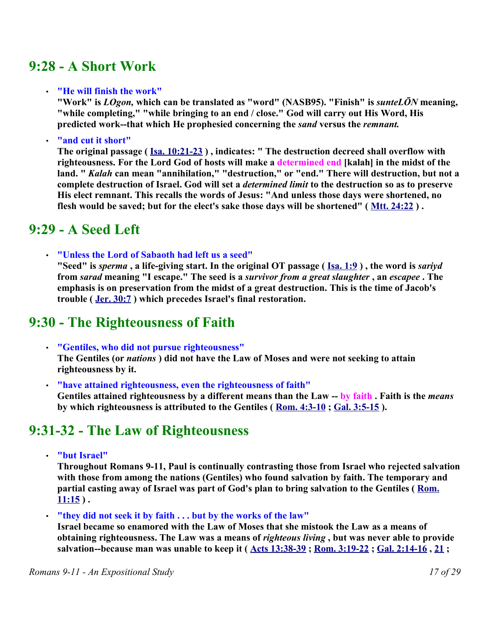## **9:28 - A Short Work**

#### • **"He will finish the work"**

**"Work" is** *LOgon,* **which can be translated as "word" (NASB95). "Finish" is** *sunteLŌN* **meaning, "while completing," "while bringing to an end / close." God will carry out His Word, His predicted work--that which He prophesied concerning the** *sand* **versus the** *remnant.*

#### • **"and cut it short"**

**The original passage ( Isa. 10:21-23 ) , indicates: " The destruction decreed shall overflow with righteousness. For the Lord God of hosts will make a determined end [kalah] in the midst of the land. "** *Kalah* **can mean "annihilation," "destruction," or "end." There will destruction, but not a complete destruction of Israel. God will set a** *determined limit* **to the destruction so as to preserve His elect remnant. This recalls the words of Jesus: "And unless those days were shortened, no flesh would be saved; but for the elect's sake those days will be shortened" ( Mtt. 24:22 ) .** 

### **9:29 - A Seed Left**

• **"Unless the Lord of Sabaoth had left us a seed"**

**"Seed" is** *sperma* **, a life-giving start. In the original OT passage ( Isa. 1:9 ) , the word is** *sariyd* **from** *sarad* **meaning "I escape." The seed is a** *survivor from a great slaughter* **, an** *escapee* **. The emphasis is on preservation from the midst of a great destruction. This is the time of Jacob's trouble ( Jer. 30:7 ) which precedes Israel's final restoration.**

## **9:30 - The Righteousness of Faith**

- **"Gentiles, who did not pursue righteousness" The Gentiles (or** *nations* **) did not have the Law of Moses and were not seeking to attain righteousness by it.**
- **"have attained righteousness, even the righteousness of faith" Gentiles attained righteousness by a different means than the Law -- by faith . Faith is the** *means* **by which righteousness is attributed to the Gentiles ( Rom. 4:3-10 ; Gal. 3:5-15 ).**

### **9:31-32 - The Law of Righteousness**

• **"but Israel"**

**Throughout Romans 9-11, Paul is continually contrasting those from Israel who rejected salvation with those from among the nations (Gentiles) who found salvation by faith. The temporary and partial casting away of Israel was part of God's plan to bring salvation to the Gentiles ( Rom. 11:15 ) .** 

• **"they did not seek it by faith . . . but by the works of the law"**

**Israel became so enamored with the Law of Moses that she mistook the Law as a means of obtaining righteousness. The Law was a means of** *righteous living* **, but was never able to provide salvation--because man was unable to keep it ( Acts 13:38-39 ; Rom. 3:19-22 ; Gal. 2:14-16 , 21 ;**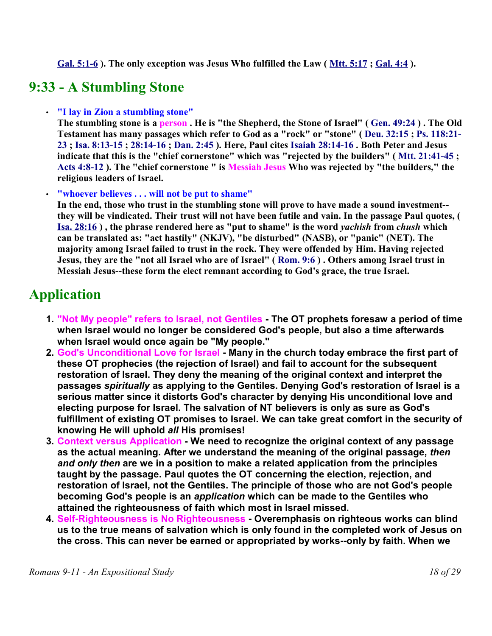**Gal. 5:1-6 ). The only exception was Jesus Who fulfilled the Law ( Mtt. 5:17 ; Gal. 4:4 ).** 

# **9:33 - A Stumbling Stone**

#### • **"I lay in Zion a stumbling stone"**

**The stumbling stone is a person . He is "the Shepherd, the Stone of Israel" ( Gen. 49:24 ) . The Old Testament has many passages which refer to God as a "rock" or "stone" ( Deu. 32:15 ; Ps. 118:21- 23 ; Isa. 8:13-15 ; 28:14-16 ; Dan. 2:45 ). Here, Paul cites Isaiah 28:14-16 . Both Peter and Jesus indicate that this is the "chief cornerstone" which was "rejected by the builders" ( Mtt. 21:41-45 ; Acts 4:8-12 ). The "chief cornerstone " is Messiah Jesus Who was rejected by "the builders," the religious leaders of Israel.** 

#### • **"whoever believes . . . will not be put to shame"**

**In the end, those who trust in the stumbling stone will prove to have made a sound investment- they will be vindicated. Their trust will not have been futile and vain. In the passage Paul quotes, ( Isa. 28:16 ) , the phrase rendered here as "put to shame" is the word** *yachish* **from** *chush* **which can be translated as: "act hastily" (NKJV), "be disturbed" (NASB), or "panic" (NET). The majority among Israel failed to trust in the rock. They were offended by Him. Having rejected Jesus, they are the "not all Israel who are of Israel" ( Rom. 9:6 ) . Others among Israel trust in Messiah Jesus--these form the elect remnant according to God's grace, the true Israel.** 

## **Application**

- **1. "Not My people" refers to Israel, not Gentiles - The OT prophets foresaw a period of time when Israel would no longer be considered God's people, but also a time afterwards when Israel would once again be "My people."**
- **2. God's Unconditional Love for Israel - Many in the church today embrace the first part of these OT prophecies (the rejection of Israel) and fail to account for the subsequent restoration of Israel. They deny the meaning of the original context and interpret the passages** *spiritually* **as applying to the Gentiles. Denying God's restoration of Israel is a serious matter since it distorts God's character by denying His unconditional love and electing purpose for Israel. The salvation of NT believers is only as sure as God's fulfillment of existing OT promises to Israel. We can take great comfort in the security of knowing He will uphold** *all* **His promises!**
- **3. Context versus Application - We need to recognize the original context of any passage as the actual meaning. After we understand the meaning of the original passage,** *then and only then* **are we in a position to make a related application from the principles taught by the passage. Paul quotes the OT concerning the election, rejection, and restoration of Israel, not the Gentiles. The principle of those who are not God's people becoming God's people is an** *application* **which can be made to the Gentiles who attained the righteousness of faith which most in Israel missed.**
- **4. Self-Righteousness is No Righteousness - Overemphasis on righteous works can blind us to the true means of salvation which is only found in the completed work of Jesus on the cross. This can never be earned or appropriated by works--only by faith. When we**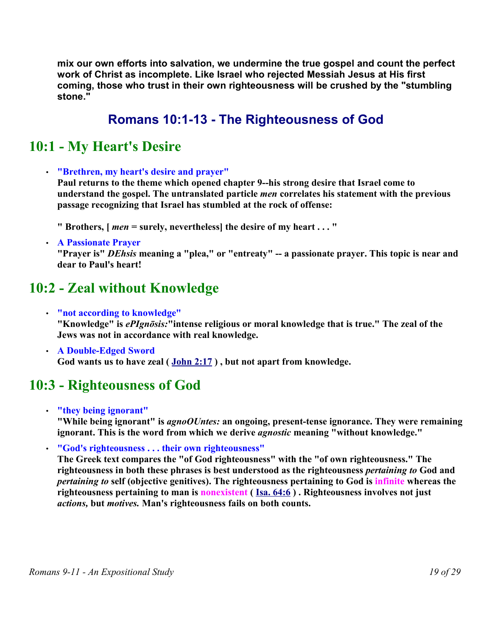**mix our own efforts into salvation, we undermine the true gospel and count the perfect work of Christ as incomplete. Like Israel who rejected Messiah Jesus at His first coming, those who trust in their own righteousness will be crushed by the "stumbling stone."** 

## **Romans 10:1-13 - The Righteousness of God**

## **10:1 - My Heart's Desire**

• **"Brethren, my heart's desire and prayer"** 

**Paul returns to the theme which opened chapter 9--his strong desire that Israel come to understand the gospel. The untranslated particle** *men* **correlates his statement with the previous passage recognizing that Israel has stumbled at the rock of offense:** 

- **" Brothers, [** *men* **= surely, nevertheless] the desire of my heart . . . "**
- **A Passionate Prayer**

**"Prayer is"** *DEhsis* **meaning a "plea," or "entreaty" -- a passionate prayer. This topic is near and dear to Paul's heart!**

## **10:2 - Zeal without Knowledge**

- **"not according to knowledge" "Knowledge" is** *ePIgnōsis:***"intense religious or moral knowledge that is true." The zeal of the Jews was not in accordance with real knowledge.**
- **A Double-Edged Sword God wants us to have zeal ( John 2:17 ) , but not apart from knowledge.**

## **10:3 - Righteousness of God**

- **"they being ignorant" "While being ignorant" is** *agnoOUntes:* **an ongoing, present-tense ignorance. They were remaining ignorant. This is the word from which we derive** *agnostic* **meaning "without knowledge."**
- **"God's righteousness . . . their own righteousness"**

**The Greek text compares the "of God righteousness" with the "of own righteousness." The righteousness in both these phrases is best understood as the righteousness** *pertaining to* **God and** *pertaining to* **self (objective genitives). The righteousness pertaining to God is infinite whereas the righteousness pertaining to man is nonexistent ( Isa. 64:6 ) . Righteousness involves not just** *actions,* **but** *motives.* **Man's righteousness fails on both counts.**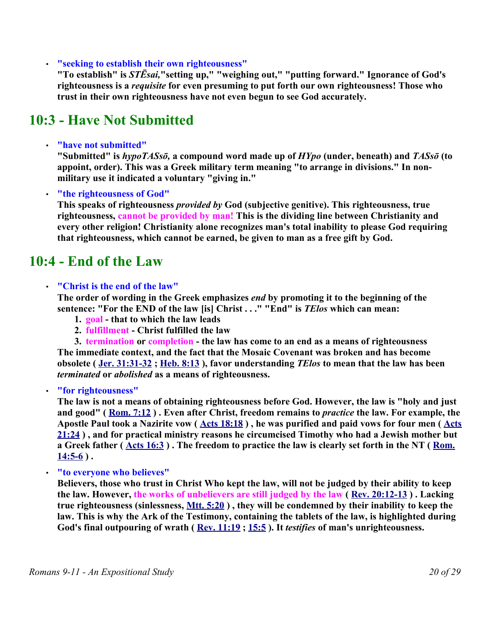• **"seeking to establish their own righteousness"**

**"To establish" is** *STĒsai,***"setting up," "weighing out," "putting forward." Ignorance of God's righteousness is a** *requisite* **for even presuming to put forth our own righteousness! Those who trust in their own righteousness have not even begun to see God accurately.** 

## **10:3 - Have Not Submitted**

#### • **"have not submitted"**

**"Submitted" is** *hypoTASsō,* **a compound word made up of** *HYpo* **(under, beneath) and** *TASsō* **(to appoint, order). This was a Greek military term meaning "to arrange in divisions." In nonmilitary use it indicated a voluntary "giving in."**

#### • **"the righteousness of God"**

**This speaks of righteousness** *provided by* **God (subjective genitive). This righteousness, true righteousness, cannot be provided by man! This is the dividing line between Christianity and every other religion! Christianity alone recognizes man's total inability to please God requiring that righteousness, which cannot be earned, be given to man as a free gift by God.** 

### **10:4 - End of the Law**

#### • **"Christ is the end of the law"**

**The order of wording in the Greek emphasizes** *end* **by promoting it to the beginning of the sentence: "For the END of the law [is] Christ . . ." "End" is** *TElos* **which can mean:** 

- **1. goal that to which the law leads**
- **2. fulfillment Christ fulfilled the law**
- **3. termination or completion the law has come to an end as a means of righteousness**

**The immediate context, and the fact that the Mosaic Covenant was broken and has become obsolete ( Jer. 31:31-32 ; Heb. 8:13 ), favor understanding** *TElos* **to mean that the law has been** *terminated* **or** *abolished* **as a means of righteousness.**

• **"for righteousness"**

**The law is not a means of obtaining righteousness before God. However, the law is "holy and just and good" ( Rom. 7:12 ) . Even after Christ, freedom remains to** *practice* **the law. For example, the Apostle Paul took a Nazirite vow ( Acts 18:18 ) , he was purified and paid vows for four men ( Acts 21:24 ) , and for practical ministry reasons he circumcised Timothy who had a Jewish mother but a Greek father ( Acts 16:3 ) . The freedom to practice the law is clearly set forth in the NT ( Rom. 14:5-6 ) .** 

• **"to everyone who believes"**

**Believers, those who trust in Christ Who kept the law, will not be judged by their ability to keep the law. However, the works of unbelievers are still judged by the law ( Rev. 20:12-13 ) . Lacking true righteousness (sinlessness, Mtt. 5:20 ) , they will be condemned by their inability to keep the law. This is why the Ark of the Testimony, containing the tablets of the law, is highlighted during God's final outpouring of wrath ( Rev. 11:19 ; 15:5 ). It** *testifies* **of man's unrighteousness.**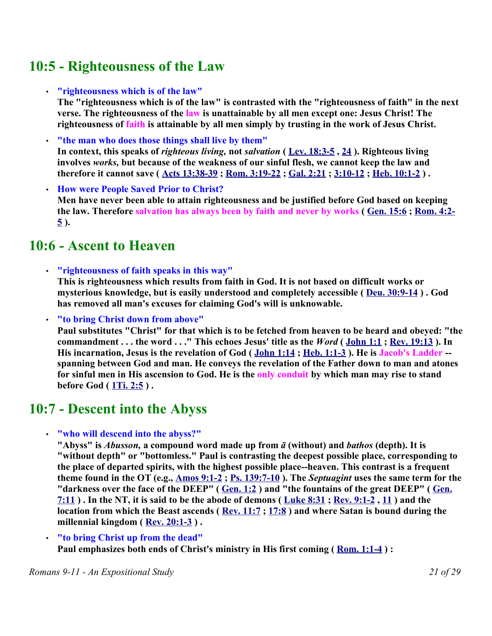## **10:5 - Righteousness of the Law**

• **"righteousness which is of the law"**

**The "righteousness which is of the law" is contrasted with the "righteousness of faith" in the next verse. The righteousness of the law is unattainable by all men except one: Jesus Christ! The righteousness of faith is attainable by all men simply by trusting in the work of Jesus Christ.** 

- **"the man who does those things shall live by them" In context, this speaks of** *righteous living,* **not** *salvation* **( Lev. 18:3-5 , 24 ). Righteous living involves** *works,* **but because of the weakness of our sinful flesh, we cannot keep the law and therefore it cannot save ( Acts 13:38-39 ; Rom. 3:19-22 ; Gal. 2:21 ; 3:10-12 ; Heb. 10:1-2 ) .**
- **How were People Saved Prior to Christ? Men have never been able to attain righteousness and be justified before God based on keeping the law. Therefore salvation has always been by faith and never by works ( Gen. 15:6 ; Rom. 4:2- 5 ).**

## **10:6 - Ascent to Heaven**

• **"righteousness of faith speaks in this way"**

**This is righteousness which results from faith in God. It is not based on difficult works or mysterious knowledge, but is easily understood and completely accessible ( Deu. 30:9-14 ) . God has removed all man's excuses for claiming God's will is unknowable.**

• **"to bring Christ down from above"**

**Paul substitutes "Christ" for that which is to be fetched from heaven to be heard and obeyed: "the commandment . . . the word . . ." This echoes Jesus' title as the** *Word* **( John 1:1 ; Rev. 19:13 ). In His incarnation, Jesus is the revelation of God ( John 1:14 ; Heb. 1:1-3 ). He is Jacob's Ladder - spanning between God and man. He conveys the revelation of the Father down to man and atones for sinful men in His ascension to God. He is the only conduit by which man may rise to stand before God ( 1Ti. 2:5 ) .** 

## **10:7 - Descent into the Abyss**

• **"who will descend into the abyss?"**

**"Abyss" is** *Abusson,* **a compound word made up from** *ā* **(without) and** *bathos* **(depth). It is "without depth" or "bottomless." Paul is contrasting the deepest possible place, corresponding to the place of departed spirits, with the highest possible place--heaven. This contrast is a frequent theme found in the OT (e.g., Amos 9:1-2 ; Ps. 139:7-10 ). The** *Septuagint* **uses the same term for the "darkness over the face of the DEEP" ( Gen. 1:2 ) and "the fountains of the great DEEP" ( Gen. 7:11 ) . In the NT, it is said to be the abode of demons ( Luke 8:31 ; Rev. 9:1-2 , 11 ) and the location from which the Beast ascends ( Rev. 11:7 ; 17:8 ) and where Satan is bound during the millennial kingdom ( Rev. 20:1-3 ) .** 

• **"to bring Christ up from the dead"**

**Paul emphasizes both ends of Christ's ministry in His first coming ( Rom. 1:1-4 ) :**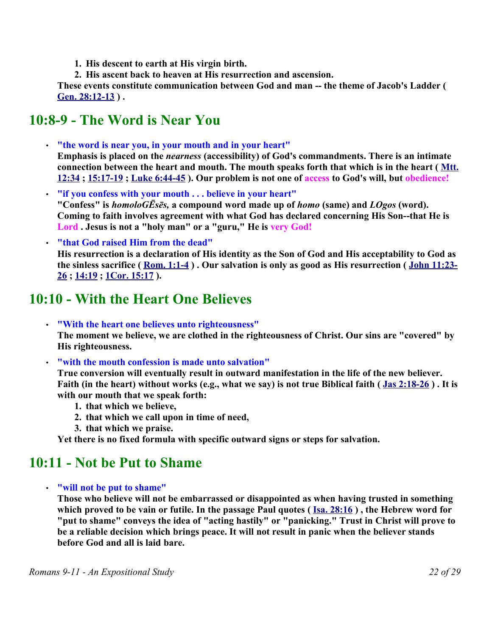**1. His descent to earth at His virgin birth.**

**2. His ascent back to heaven at His resurrection and ascension.**

**These events constitute communication between God and man -- the theme of Jacob's Ladder ( Gen. 28:12-13 ) .** 

## **10:8-9 - The Word is Near You**

- **"the word is near you, in your mouth and in your heart" Emphasis is placed on the** *nearness* **(accessibility) of God's commandments. There is an intimate connection between the heart and mouth. The mouth speaks forth that which is in the heart ( Mtt. 12:34 ; 15:17-19 ; Luke 6:44-45 ). Our problem is not one of access to God's will, but obedience!**
- **"if you confess with your mouth . . . believe in your heart" "Confess" is** *homoloGĒsēs,* **a compound word made up of** *homo* **(same) and** *LOgos* **(word). Coming to faith involves agreement with what God has declared concerning His Son--that He is Lord . Jesus is not a "holy man" or a "guru," He is very God!**
- **"that God raised Him from the dead"**

**His resurrection is a declaration of His identity as the Son of God and His acceptability to God as the sinless sacrifice ( Rom. 1:1-4 ) . Our salvation is only as good as His resurrection ( John 11:23- 26 ; 14:19 ; 1Cor. 15:17 ).** 

## **10:10 - With the Heart One Believes**

• **"With the heart one believes unto righteousness" The moment we believe, we are clothed in the righteousness of Christ. Our sins are "covered" by His righteousness.**

• **"with the mouth confession is made unto salvation"**

**True conversion will eventually result in outward manifestation in the life of the new believer. Faith (in the heart) without works (e.g., what we say) is not true Biblical faith ( Jas 2:18-26 ) . It is with our mouth that we speak forth:** 

- **1. that which we believe,**
- **2. that which we call upon in time of need,**
- **3. that which we praise.**

**Yet there is no fixed formula with specific outward signs or steps for salvation.**

### **10:11 - Not be Put to Shame**

#### • **"will not be put to shame"**

**Those who believe will not be embarrassed or disappointed as when having trusted in something which proved to be vain or futile. In the passage Paul quotes ( Isa. 28:16 ) , the Hebrew word for "put to shame" conveys the idea of "acting hastily" or "panicking." Trust in Christ will prove to be a reliable decision which brings peace. It will not result in panic when the believer stands before God and all is laid bare.**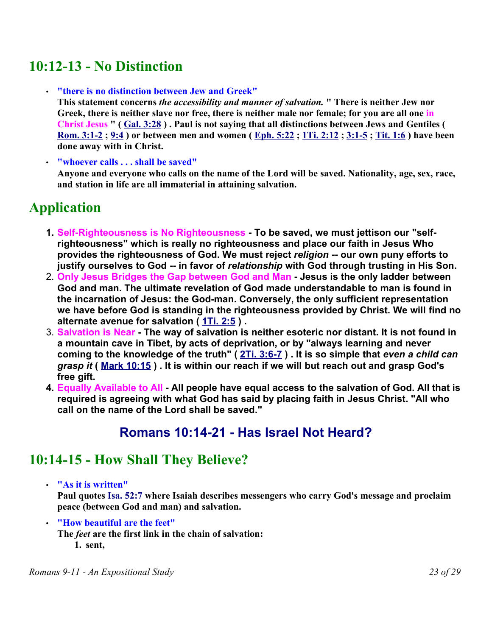## **10:12-13 - No Distinction**

• **"there is no distinction between Jew and Greek"** 

**This statement concerns** *the accessibility and manner of salvation.* **" There is neither Jew nor Greek, there is neither slave nor free, there is neither male nor female; for you are all one in Christ Jesus " ( Gal. 3:28 ) . Paul is not saying that all distinctions between Jews and Gentiles ( Rom. 3:1-2 ; 9:4 ) or between men and women ( Eph. 5:22 ; 1Ti. 2:12 ; 3:1-5 ; Tit. 1:6 ) have been done away with in Christ.** 

• **"whoever calls . . . shall be saved"**

**Anyone and everyone who calls on the name of the Lord will be saved. Nationality, age, sex, race, and station in life are all immaterial in attaining salvation.**

# **Application**

- **1. Self-Righteousness is No Righteousness - To be saved, we must jettison our "selfrighteousness" which is really no righteousness and place our faith in Jesus Who provides the righteousness of God. We must reject** *religion* **-- our own puny efforts to justify ourselves to God -- in favor of** *relationship* **with God through trusting in His Son.**
- 2. **Only Jesus Bridges the Gap between God and Man - Jesus is the only ladder between God and man. The ultimate revelation of God made understandable to man is found in the incarnation of Jesus: the God-man. Conversely, the only sufficient representation we have before God is standing in the righteousness provided by Christ. We will find no alternate avenue for salvation ( 1Ti. 2:5 ) .**
- 3. **Salvation is Near - The way of salvation is neither esoteric nor distant. It is not found in a mountain cave in Tibet, by acts of deprivation, or by "always learning and never coming to the knowledge of the truth" ( 2Ti. 3:6-7 ) . It is so simple that** *even a child can grasp it* **( Mark 10:15 ) . It is within our reach if we will but reach out and grasp God's free gift.**
- **4. Equally Available to All - All people have equal access to the salvation of God. All that is required is agreeing with what God has said by placing faith in Jesus Christ. "All who call on the name of the Lord shall be saved."**

### **Romans 10:14-21 - Has Israel Not Heard?**

## **10:14-15 - How Shall They Believe?**

• **"As it is written"**

**Paul quotes Isa. 52:7 where Isaiah describes messengers who carry God's message and proclaim peace (between God and man) and salvation.** 

• **"How beautiful are the feet"**

**The** *feet* **are the first link in the chain of salvation: 1. sent,**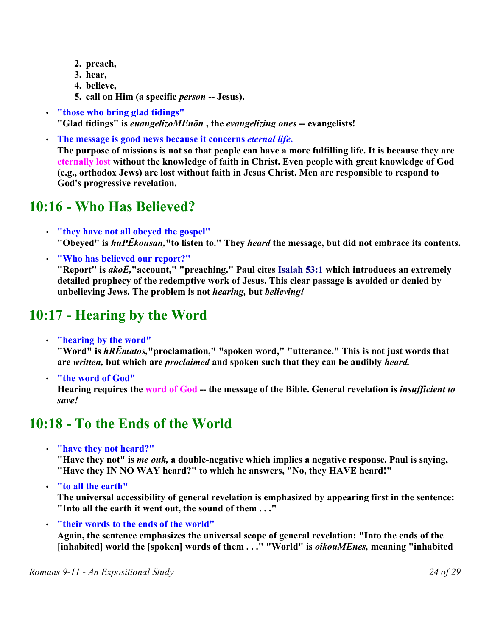- **2. preach,**
- **3. hear,**
- **4. believe,**
- **5. call on Him (a specific** *person* **-- Jesus).**
- **"those who bring glad tidings" "Glad tidings" is** *euangelizoMEnōn* **, the** *evangelizing ones* **-- evangelists!**
- **The message is good news because it concerns** *eternal life***. The purpose of missions is not so that people can have a more fulfilling life. It is because they are eternally lost without the knowledge of faith in Christ. Even people with great knowledge of God (e.g., orthodox Jews) are lost without faith in Jesus Christ. Men are responsible to respond to God's progressive revelation.**

## **10:16 - Who Has Believed?**

- **"they have not all obeyed the gospel" "Obeyed" is** *huPĒkousan,***"to listen to." They** *heard* **the message, but did not embrace its contents.**
- **"Who has believed our report?" "Report" is** *akoĒ,***"account," "preaching." Paul cites Isaiah 53:1 which introduces an extremely detailed prophecy of the redemptive work of Jesus. This clear passage is avoided or denied by unbelieving Jews. The problem is not** *hearing,* **but** *believing!*

# **10:17 - Hearing by the Word**

• **"hearing by the word"**

**"Word" is** *hRĒmatos,***"proclamation," "spoken word," "utterance." This is not just words that are** *written,* **but which are** *proclaimed* **and spoken such that they can be audibly** *heard.* 

• **"the word of God"**

**Hearing requires the word of God -- the message of the Bible. General revelation is** *insufficient to save!*

## **10:18 - To the Ends of the World**

• **"have they not heard?"**

**"Have they not" is** *mē ouk,* **a double-negative which implies a negative response. Paul is saying, "Have they IN NO WAY heard?" to which he answers, "No, they HAVE heard!"**

• **"to all the earth"**

**The universal accessibility of general revelation is emphasized by appearing first in the sentence: "Into all the earth it went out, the sound of them . . ."**

• **"their words to the ends of the world"**

**Again, the sentence emphasizes the universal scope of general revelation: "Into the ends of the [inhabited] world the [spoken] words of them . . ." "World" is** *oikouMEnēs,* **meaning "inhabited**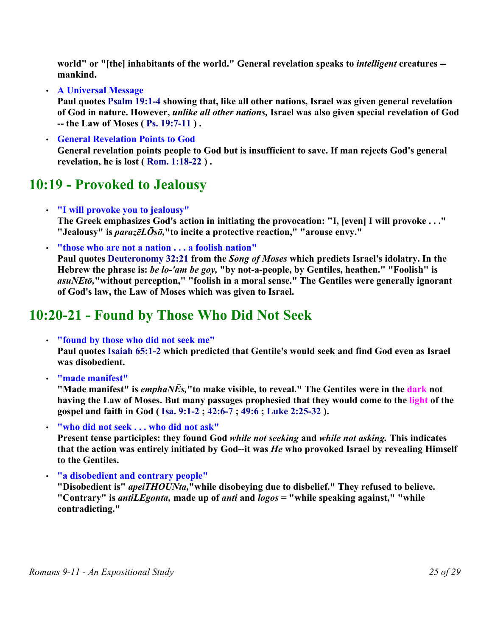**world" or "[the] inhabitants of the world." General revelation speaks to** *intelligent* **creatures - mankind.**

• **A Universal Message**

**Paul quotes Psalm 19:1-4 showing that, like all other nations, Israel was given general revelation of God in nature. However,** *unlike all other nations,* **Israel was also given special revelation of God -- the Law of Moses ( Ps. 19:7-11 ) .** 

• **General Revelation Points to God General revelation points people to God but is insufficient to save. If man rejects God's general revelation, he is lost ( Rom. 1:18-22 ) .** 

### **10:19 - Provoked to Jealousy**

• **"I will provoke you to jealousy"**

**The Greek emphasizes God's action in initiating the provocation: "I, [even] I will provoke . . ." "Jealousy" is** *parazēLŌsō,***"to incite a protective reaction," "arouse envy."** 

• **"those who are not a nation . . . a foolish nation"**

**Paul quotes Deuteronomy 32:21 from the** *Song of Moses* **which predicts Israel's idolatry. In the Hebrew the phrase is:** *be lo-'am be goy,* **"by not-a-people, by Gentiles, heathen." "Foolish" is** *asuNEtō,***"without perception," "foolish in a moral sense." The Gentiles were generally ignorant of God's law, the Law of Moses which was given to Israel.** 

## **10:20-21 - Found by Those Who Did Not Seek**

• **"found by those who did not seek me"** 

**Paul quotes Isaiah 65:1-2 which predicted that Gentile's would seek and find God even as Israel was disobedient.**

• **"made manifest"** 

**"Made manifest" is** *emphaNĒs,***"to make visible, to reveal." The Gentiles were in the dark not having the Law of Moses. But many passages prophesied that they would come to the light of the gospel and faith in God ( Isa. 9:1-2 ; 42:6-7 ; 49:6 ; Luke 2:25-32 ).** 

• **"who did not seek . . . who did not ask"**

**Present tense participles: they found God** *while not seeking* **and** *while not asking.* **This indicates that the action was entirely initiated by God--it was** *He* **who provoked Israel by revealing Himself to the Gentiles.** 

• **"a disobedient and contrary people"** 

**"Disobedient is"** *apeiTHOUNta,***"while disobeying due to disbelief." They refused to believe. "Contrary" is** *antiLEgonta,* **made up of** *anti* **and** *logos* **= "while speaking against," "while contradicting."**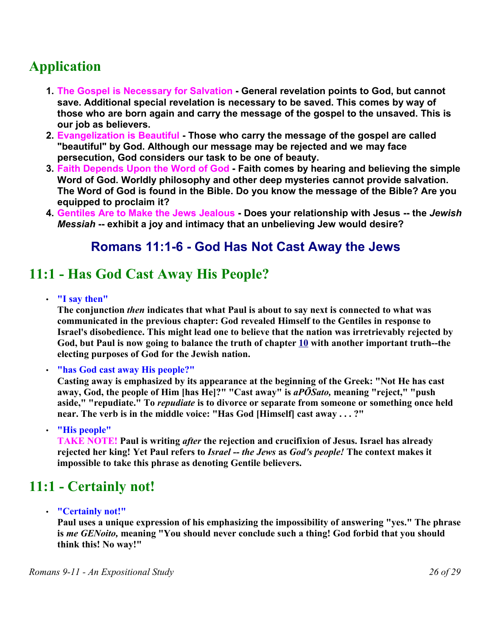# **Application**

- **1. The Gospel is Necessary for Salvation - General revelation points to God, but cannot save. Additional special revelation is necessary to be saved. This comes by way of those who are born again and carry the message of the gospel to the unsaved. This is our job as believers.**
- **2. Evangelization is Beautiful - Those who carry the message of the gospel are called "beautiful" by God. Although our message may be rejected and we may face persecution, God considers our task to be one of beauty.**
- **3. Faith Depends Upon the Word of God - Faith comes by hearing and believing the simple Word of God. Worldly philosophy and other deep mysteries cannot provide salvation. The Word of God is found in the Bible. Do you know the message of the Bible? Are you equipped to proclaim it?**
- **4. Gentiles Are to Make the Jews Jealous - Does your relationship with Jesus -- the** *Jewish Messiah* **-- exhibit a joy and intimacy that an unbelieving Jew would desire?**

### **Romans 11:1-6 - God Has Not Cast Away the Jews**

## **11:1 - Has God Cast Away His People?**

• **"I say then"**

**The conjunction** *then* **indicates that what Paul is about to say next is connected to what was communicated in the previous chapter: God revealed Himself to the Gentiles in response to Israel's disobedience. This might lead one to believe that the nation was irretrievably rejected by God, but Paul is now going to balance the truth of chapter 10 with another important truth--the electing purposes of God for the Jewish nation.**

• **"has God cast away His people?"**

**Casting away is emphasized by its appearance at the beginning of the Greek: "Not He has cast away, God, the people of Him [has He]?" "Cast away" is** *aPŌSato,* **meaning "reject," "push aside," "repudiate." To** *repudiate* **is to divorce or separate from someone or something once held near. The verb is in the middle voice: "Has God [Himself] cast away . . . ?"**

• **"His people"**

**TAKE NOTE! Paul is writing** *after* **the rejection and crucifixion of Jesus. Israel has already rejected her king! Yet Paul refers to** *Israel -- the Jews* **as** *God's people!* **The context makes it impossible to take this phrase as denoting Gentile believers.** 

## **11:1 - Certainly not!**

• **"Certainly not!"**

**Paul uses a unique expression of his emphasizing the impossibility of answering "yes." The phrase is** *me GENoito,* **meaning "You should never conclude such a thing! God forbid that you should think this! No way!"**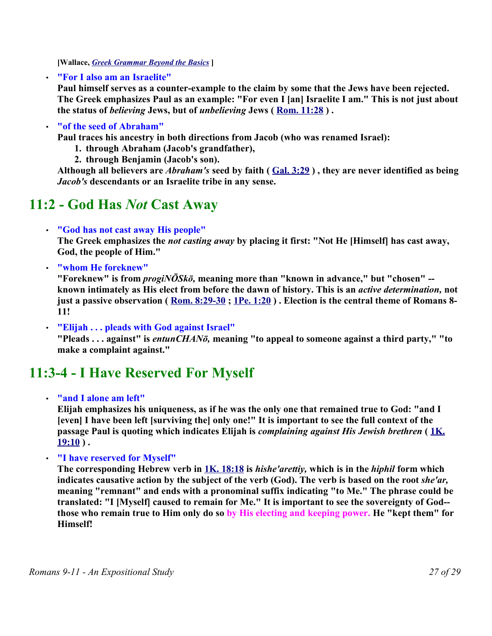**[Wallace,** *Greek Grammar Beyond the Basics* **]**

• **"For I also am an Israelite"**

**Paul himself serves as a counter-example to the claim by some that the Jews have been rejected. The Greek emphasizes Paul as an example: "For even I [an] Israelite I am." This is not just about the status of** *believing* **Jews, but of** *unbelieving* **Jews ( Rom. 11:28 ) .** 

#### • **"of the seed of Abraham"**

**Paul traces his ancestry in both directions from Jacob (who was renamed Israel):** 

- **1. through Abraham (Jacob's grandfather),**
- **2. through Benjamin (Jacob's son).**

**Although all believers are** *Abraham's* **seed by faith ( Gal. 3:29 ) , they are never identified as being** *Jacob's* **descendants or an Israelite tribe in any sense.** 

## **11:2 - God Has** *Not* **Cast Away**

• **"God has not cast away His people"**

**The Greek emphasizes the** *not casting away* **by placing it first: "Not He [Himself] has cast away, God, the people of Him."** 

• **"whom He foreknew"**

**"Foreknew" is from** *progiNŌSkō,* **meaning more than "known in advance," but "chosen" - known intimately as His elect from before the dawn of history. This is an** *active determination,* **not just a passive observation ( Rom. 8:29-30 ; 1Pe. 1:20 ) . Election is the central theme of Romans 8- 11!**

• **"Elijah . . . pleads with God against Israel"** 

**"Pleads . . . against" is** *entunCHANō,* **meaning "to appeal to someone against a third party," "to make a complaint against."**

# **11:3-4 - I Have Reserved For Myself**

• **"and I alone am left"**

**Elijah emphasizes his uniqueness, as if he was the only one that remained true to God: "and I [even] I have been left [surviving the] only one!" It is important to see the full context of the passage Paul is quoting which indicates Elijah is** *complaining against His Jewish brethren* **( 1K. 19:10 ) .** 

• **"I have reserved for Myself"**

**The corresponding Hebrew verb in 1K. 18:18 is** *hishe'arettiy,* **which is in the** *hiphil* **form which indicates causative action by the subject of the verb (God). The verb is based on the root** *she'ar,* **meaning "remnant" and ends with a pronominal suffix indicating "to Me." The phrase could be translated: "I [Myself] caused to remain for Me." It is important to see the sovereignty of God- those who remain true to Him only do so by His electing and keeping power. He "kept them" for Himself!**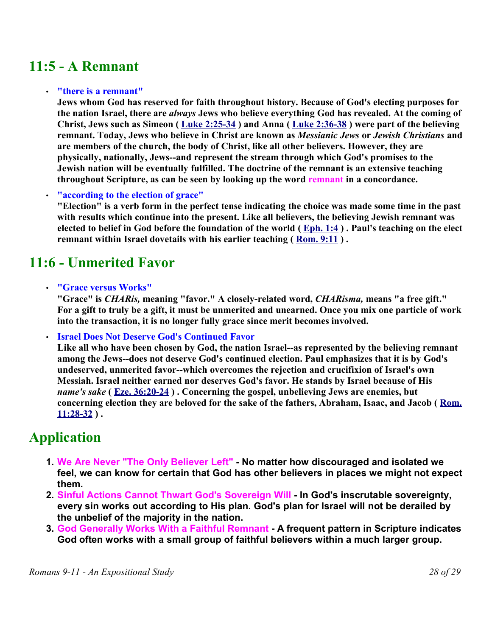## **11:5 - A Remnant**

#### • **"there is a remnant"**

**Jews whom God has reserved for faith throughout history. Because of God's electing purposes for the nation Israel, there are** *always* **Jews who believe everything God has revealed. At the coming of Christ, Jews such as Simeon ( Luke 2:25-34 ) and Anna ( Luke 2:36-38 ) were part of the believing remnant. Today, Jews who believe in Christ are known as** *Messianic Jews* **or** *Jewish Christians* **and are members of the church, the body of Christ, like all other believers. However, they are physically, nationally, Jews--and represent the stream through which God's promises to the Jewish nation will be eventually fulfilled. The doctrine of the remnant is an extensive teaching throughout Scripture, as can be seen by looking up the word remnant in a concordance.** 

• **"according to the election of grace"** 

**"Election" is a verb form in the perfect tense indicating the choice was made some time in the past with results which continue into the present. Like all believers, the believing Jewish remnant was elected to belief in God before the foundation of the world ( Eph. 1:4 ) . Paul's teaching on the elect remnant within Israel dovetails with his earlier teaching ( Rom. 9:11 ) .** 

## **11:6 - Unmerited Favor**

• **"Grace versus Works"**

**"Grace" is** *CHARis,* **meaning "favor." A closely-related word,** *CHARisma,* **means "a free gift." For a gift to truly be a gift, it must be unmerited and unearned. Once you mix one particle of work into the transaction, it is no longer fully grace since merit becomes involved.**

• **Israel Does Not Deserve God's Continued Favor**

**Like all who have been chosen by God, the nation Israel--as represented by the believing remnant among the Jews--does not deserve God's continued election. Paul emphasizes that it is by God's undeserved, unmerited favor--which overcomes the rejection and crucifixion of Israel's own Messiah. Israel neither earned nor deserves God's favor. He stands by Israel because of His** *name's sake* **( Eze. 36:20-24 ) . Concerning the gospel, unbelieving Jews are enemies, but concerning election they are beloved for the sake of the fathers, Abraham, Isaac, and Jacob ( Rom. 11:28-32 ) .** 

## **Application**

- **1. We Are Never "The Only Believer Left" - No matter how discouraged and isolated we feel, we can know for certain that God has other believers in places we might not expect them.**
- **2. Sinful Actions Cannot Thwart God's Sovereign Will In God's inscrutable sovereignty, every sin works out according to His plan. God's plan for Israel will not be derailed by the unbelief of the majority in the nation.**
- **3. God Generally Works With a Faithful Remnant - A frequent pattern in Scripture indicates God often works with a small group of faithful believers within a much larger group.**